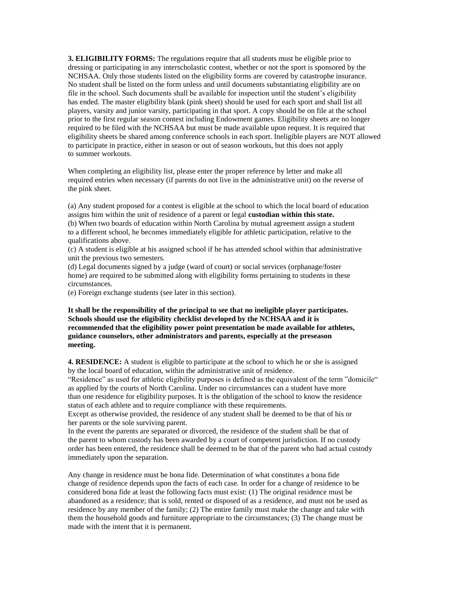**3. ELIGIBILITY FORMS:** The regulations require that all students must be eligible prior to dressing or participating in any interscholastic contest, whether or not the sport is sponsored by the NCHSAA. Only those students listed on the eligibility forms are covered by catastrophe insurance. No student shall be listed on the form unless and until documents substantiating eligibility are on file in the school. Such documents shall be available for inspection until the student's eligibility has ended. The master eligibility blank (pink sheet) should be used for each sport and shall list all players, varsity and junior varsity, participating in that sport. A copy should be on file at the school prior to the first regular season contest including Endowment games. Eligibility sheets are no longer required to be filed with the NCHSAA but must be made available upon request. It is required that eligibility sheets be shared among conference schools in each sport. Ineligible players are NOT allowed to participate in practice, either in season or out of season workouts, but this does not apply to summer workouts.

When completing an eligibility list, please enter the proper reference by letter and make all required entries when necessary (if parents do not live in the administrative unit) on the reverse of the pink sheet.

(a) Any student proposed for a contest is eligible at the school to which the local board of education assigns him within the unit of residence of a parent or legal **custodian within this state.**

(b) When two boards of education within North Carolina by mutual agreement assign a student to a different school, he becomes immediately eligible for athletic participation, relative to the qualifications above.

(c) A student is eligible at his assigned school if he has attended school within that administrative unit the previous two semesters.

(d) Legal documents signed by a judge (ward of court) or social services (orphanage/foster home) are required to be submitted along with eligibility forms pertaining to students in these circumstances.

(e) Foreign exchange students (see later in this section).

**It shall be the responsibility of the principal to see that no ineligible player participates. Schools should use the eligibility checklist developed by the NCHSAA and it is recommended that the eligibility power point presentation be made available for athletes, guidance counselors, other administrators and parents, especially at the preseason meeting.**

**4. RESIDENCE:** A student is eligible to participate at the school to which he or she is assigned by the local board of education, within the administrative unit of residence.

"Residence" as used for athletic eligibility purposes is defined as the equivalent of the term "domicile" as applied by the courts of North Carolina. Under no circumstances can a student have more than one residence for eligibility purposes. It is the obligation of the school to know the residence status of each athlete and to require compliance with these requirements.

Except as otherwise provided, the residence of any student shall be deemed to be that of his or her parents or the sole surviving parent.

In the event the parents are separated or divorced, the residence of the student shall be that of the parent to whom custody has been awarded by a court of competent jurisdiction. If no custody order has been entered, the residence shall be deemed to be that of the parent who had actual custody immediately upon the separation.

Any change in residence must be bona fide. Determination of what constitutes a bona fide change of residence depends upon the facts of each case. In order for a change of residence to be considered bona fide at least the following facts must exist: (1) The original residence must be abandoned as a residence; that is sold, rented or disposed of as a residence, and must not be used as residence by any member of the family; (2) The entire family must make the change and take with them the household goods and furniture appropriate to the circumstances; (3) The change must be made with the intent that it is permanent.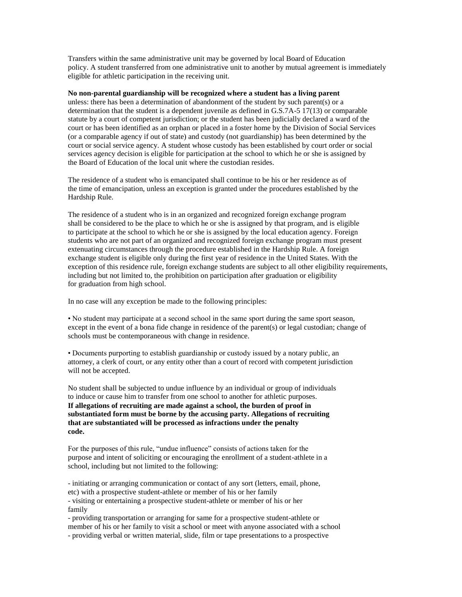Transfers within the same administrative unit may be governed by local Board of Education policy. A student transferred from one administrative unit to another by mutual agreement is immediately eligible for athletic participation in the receiving unit.

## **No non-parental guardianship will be recognized where a student has a living parent**

unless: there has been a determination of abandonment of the student by such parent(s) or a determination that the student is a dependent juvenile as defined in G.S.7A-5 17(13) or comparable statute by a court of competent jurisdiction; or the student has been judicially declared a ward of the court or has been identified as an orphan or placed in a foster home by the Division of Social Services (or a comparable agency if out of state) and custody (not guardianship) has been determined by the court or social service agency. A student whose custody has been established by court order or social services agency decision is eligible for participation at the school to which he or she is assigned by the Board of Education of the local unit where the custodian resides.

The residence of a student who is emancipated shall continue to be his or her residence as of the time of emancipation, unless an exception is granted under the procedures established by the Hardship Rule.

The residence of a student who is in an organized and recognized foreign exchange program shall be considered to be the place to which he or she is assigned by that program, and is eligible to participate at the school to which he or she is assigned by the local education agency. Foreign students who are not part of an organized and recognized foreign exchange program must present extenuating circumstances through the procedure established in the Hardship Rule. A foreign exchange student is eligible only during the first year of residence in the United States. With the exception of this residence rule, foreign exchange students are subject to all other eligibility requirements, including but not limited to, the prohibition on participation after graduation or eligibility for graduation from high school.

In no case will any exception be made to the following principles:

• No student may participate at a second school in the same sport during the same sport season, except in the event of a bona fide change in residence of the parent(s) or legal custodian; change of schools must be contemporaneous with change in residence.

• Documents purporting to establish guardianship or custody issued by a notary public, an attorney, a clerk of court, or any entity other than a court of record with competent jurisdiction will not be accepted.

No student shall be subjected to undue influence by an individual or group of individuals to induce or cause him to transfer from one school to another for athletic purposes. **If allegations of recruiting are made against a school, the burden of proof in substantiated form must be borne by the accusing party. Allegations of recruiting that are substantiated will be processed as infractions under the penalty code.**

For the purposes of this rule, "undue influence" consists of actions taken for the purpose and intent of soliciting or encouraging the enrollment of a student-athlete in a school, including but not limited to the following:

- initiating or arranging communication or contact of any sort (letters, email, phone, etc) with a prospective student-athlete or member of his or her family - visiting or entertaining a prospective student-athlete or member of his or her family

- providing transportation or arranging for same for a prospective student-athlete or member of his or her family to visit a school or meet with anyone associated with a school - providing verbal or written material, slide, film or tape presentations to a prospective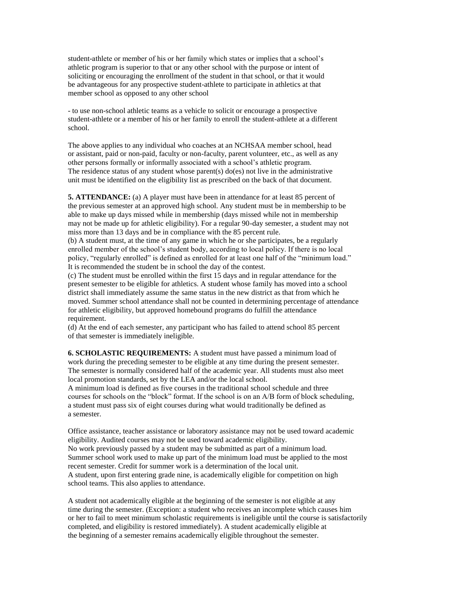student-athlete or member of his or her family which states or implies that a school's athletic program is superior to that or any other school with the purpose or intent of soliciting or encouraging the enrollment of the student in that school, or that it would be advantageous for any prospective student-athlete to participate in athletics at that member school as opposed to any other school

- to use non-school athletic teams as a vehicle to solicit or encourage a prospective student-athlete or a member of his or her family to enroll the student-athlete at a different school.

The above applies to any individual who coaches at an NCHSAA member school, head or assistant, paid or non-paid, faculty or non-faculty, parent volunteer, etc., as well as any other persons formally or informally associated with a school's athletic program. The residence status of any student whose parent(s) do(es) not live in the administrative unit must be identified on the eligibility list as prescribed on the back of that document.

**5. ATTENDANCE:** (a) A player must have been in attendance for at least 85 percent of the previous semester at an approved high school. Any student must be in membership to be able to make up days missed while in membership (days missed while not in membership may not be made up for athletic eligibility). For a regular 90-day semester, a student may not miss more than 13 days and be in compliance with the 85 percent rule.

(b) A student must, at the time of any game in which he or she participates, be a regularly enrolled member of the school's student body, according to local policy. If there is no local policy, "regularly enrolled" is defined as enrolled for at least one half of the "minimum load." It is recommended the student be in school the day of the contest.

(c) The student must be enrolled within the first 15 days and in regular attendance for the present semester to be eligible for athletics. A student whose family has moved into a school district shall immediately assume the same status in the new district as that from which he moved. Summer school attendance shall not be counted in determining percentage of attendance for athletic eligibility, but approved homebound programs do fulfill the attendance requirement.

(d) At the end of each semester, any participant who has failed to attend school 85 percent of that semester is immediately ineligible.

**6. SCHOLASTIC REQUIREMENTS:** A student must have passed a minimum load of work during the preceding semester to be eligible at any time during the present semester. The semester is normally considered half of the academic year. All students must also meet local promotion standards, set by the LEA and/or the local school.

A minimum load is defined as five courses in the traditional school schedule and three courses for schools on the "block" format. If the school is on an A/B form of block scheduling, a student must pass six of eight courses during what would traditionally be defined as a semester.

Office assistance, teacher assistance or laboratory assistance may not be used toward academic eligibility. Audited courses may not be used toward academic eligibility. No work previously passed by a student may be submitted as part of a minimum load. Summer school work used to make up part of the minimum load must be applied to the most recent semester. Credit for summer work is a determination of the local unit. A student, upon first entering grade nine, is academically eligible for competition on high school teams. This also applies to attendance.

A student not academically eligible at the beginning of the semester is not eligible at any time during the semester. (Exception: a student who receives an incomplete which causes him or her to fail to meet minimum scholastic requirements is ineligible until the course is satisfactorily completed, and eligibility is restored immediately). A student academically eligible at the beginning of a semester remains academically eligible throughout the semester.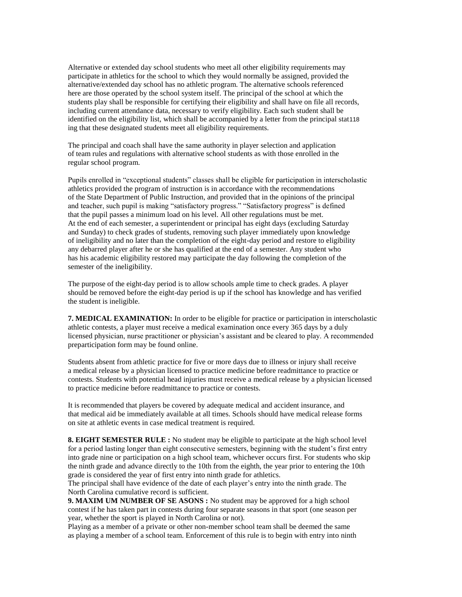Alternative or extended day school students who meet all other eligibility requirements may participate in athletics for the school to which they would normally be assigned, provided the alternative/extended day school has no athletic program. The alternative schools referenced here are those operated by the school system itself. The principal of the school at which the students play shall be responsible for certifying their eligibility and shall have on file all records, including current attendance data, necessary to verify eligibility. Each such student shall be identified on the eligibility list, which shall be accompanied by a letter from the principal stat118 ing that these designated students meet all eligibility requirements.

The principal and coach shall have the same authority in player selection and application of team rules and regulations with alternative school students as with those enrolled in the regular school program.

Pupils enrolled in "exceptional students" classes shall be eligible for participation in interscholastic athletics provided the program of instruction is in accordance with the recommendations of the State Department of Public Instruction, and provided that in the opinions of the principal and teacher, such pupil is making "satisfactory progress." "Satisfactory progress" is defined that the pupil passes a minimum load on his level. All other regulations must be met. At the end of each semester, a superintendent or principal has eight days (excluding Saturday and Sunday) to check grades of students, removing such player immediately upon knowledge of ineligibility and no later than the completion of the eight-day period and restore to eligibility any debarred player after he or she has qualified at the end of a semester. Any student who has his academic eligibility restored may participate the day following the completion of the semester of the ineligibility.

The purpose of the eight-day period is to allow schools ample time to check grades. A player should be removed before the eight-day period is up if the school has knowledge and has verified the student is ineligible.

**7. MEDICAL EXAMINATION:** In order to be eligible for practice or participation in interscholastic athletic contests, a player must receive a medical examination once every 365 days by a duly licensed physician, nurse practitioner or physician's assistant and be cleared to play. A recommended preparticipation form may be found online.

Students absent from athletic practice for five or more days due to illness or injury shall receive a medical release by a physician licensed to practice medicine before readmittance to practice or contests. Students with potential head injuries must receive a medical release by a physician licensed to practice medicine before readmittance to practice or contests.

It is recommended that players be covered by adequate medical and accident insurance, and that medical aid be immediately available at all times. Schools should have medical release forms on site at athletic events in case medical treatment is required.

**8. EIGHT SEMESTER RULE :** No student may be eligible to participate at the high school level for a period lasting longer than eight consecutive semesters, beginning with the student's first entry into grade nine or participation on a high school team, whichever occurs first. For students who skip the ninth grade and advance directly to the 10th from the eighth, the year prior to entering the 10th grade is considered the year of first entry into ninth grade for athletics.

The principal shall have evidence of the date of each player's entry into the ninth grade. The North Carolina cumulative record is sufficient.

**9. MAXIM UM NUMBER OF SE ASONS :** No student may be approved for a high school contest if he has taken part in contests during four separate seasons in that sport (one season per year, whether the sport is played in North Carolina or not).

Playing as a member of a private or other non-member school team shall be deemed the same as playing a member of a school team. Enforcement of this rule is to begin with entry into ninth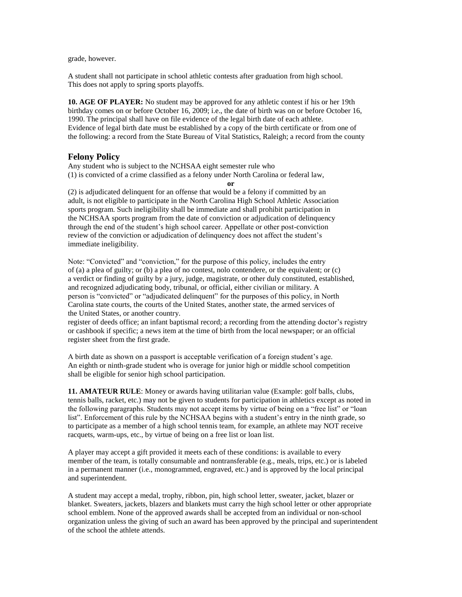grade, however.

A student shall not participate in school athletic contests after graduation from high school. This does not apply to spring sports playoffs.

**10. AGE OF PLAYER:** No student may be approved for any athletic contest if his or her 19th birthday comes on or before October 16, 2009; i.e., the date of birth was on or before October 16, 1990. The principal shall have on file evidence of the legal birth date of each athlete. Evidence of legal birth date must be established by a copy of the birth certificate or from one of the following: a record from the State Bureau of Vital Statistics, Raleigh; a record from the county

## **Felony Policy**

Any student who is subject to the NCHSAA eight semester rule who (1) is convicted of a crime classified as a felony under North Carolina or federal law,

**or**

(2) is adjudicated delinquent for an offense that would be a felony if committed by an adult, is not eligible to participate in the North Carolina High School Athletic Association sports program. Such ineligibility shall be immediate and shall prohibit participation in the NCHSAA sports program from the date of conviction or adjudication of delinquency through the end of the student's high school career. Appellate or other post-conviction review of the conviction or adjudication of delinquency does not affect the student's immediate ineligibility.

Note: "Convicted" and "conviction," for the purpose of this policy, includes the entry of (a) a plea of guilty; or (b) a plea of no contest, nolo contendere, or the equivalent; or (c) a verdict or finding of guilty by a jury, judge, magistrate, or other duly constituted, established, and recognized adjudicating body, tribunal, or official, either civilian or military. A person is "convicted" or "adjudicated delinquent" for the purposes of this policy, in North Carolina state courts, the courts of the United States, another state, the armed services of the United States, or another country.

register of deeds office; an infant baptismal record; a recording from the attending doctor's registry or cashbook if specific; a news item at the time of birth from the local newspaper; or an official register sheet from the first grade.

A birth date as shown on a passport is acceptable verification of a foreign student's age. An eighth or ninth-grade student who is overage for junior high or middle school competition shall be eligible for senior high school participation.

**11. AMATEUR RULE**: Money or awards having utilitarian value (Example: golf balls, clubs, tennis balls, racket, etc.) may not be given to students for participation in athletics except as noted in the following paragraphs. Students may not accept items by virtue of being on a "free list" or "loan list". Enforcement of this rule by the NCHSAA begins with a student's entry in the ninth grade, so to participate as a member of a high school tennis team, for example, an athlete may NOT receive racquets, warm-ups, etc., by virtue of being on a free list or loan list.

A player may accept a gift provided it meets each of these conditions: is available to every member of the team, is totally consumable and nontransferable (e.g., meals, trips, etc.) or is labeled in a permanent manner (i.e., monogrammed, engraved, etc.) and is approved by the local principal and superintendent.

A student may accept a medal, trophy, ribbon, pin, high school letter, sweater, jacket, blazer or blanket. Sweaters, jackets, blazers and blankets must carry the high school letter or other appropriate school emblem. None of the approved awards shall be accepted from an individual or non-school organization unless the giving of such an award has been approved by the principal and superintendent of the school the athlete attends.